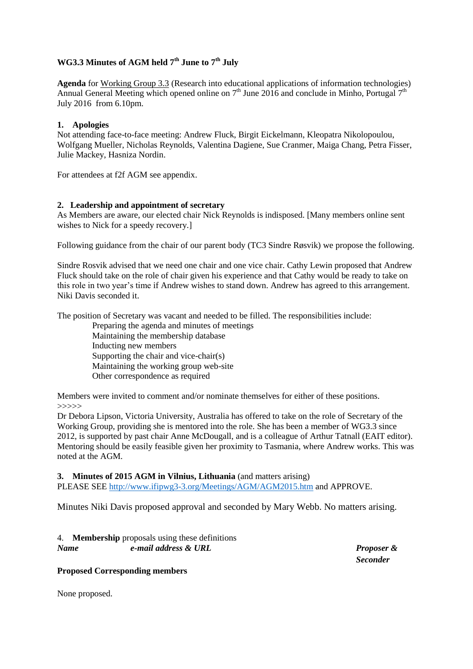# **WG3.3 Minutes of AGM held 7th June to 7th July**

**Agenda** for Working Group 3.3 (Research into educational applications of information technologies) Annual General Meeting which opened online on  $7<sup>th</sup>$  June 2016 and conclude in Minho, Portugal  $7<sup>th</sup>$ July 2016 from 6.10pm.

# **1. Apologies**

Not attending face-to-face meeting: Andrew Fluck, Birgit Eickelmann, Kleopatra Nikolopoulou, Wolfgang Mueller, Nicholas Reynolds, Valentina Dagiene, Sue Cranmer, Maiga Chang, Petra Fisser, Julie Mackey, Hasniza Nordin.

For attendees at f2f AGM see appendix.

### **2. Leadership and appointment of secretary**

As Members are aware, our elected chair Nick Reynolds is indisposed. [Many members online sent wishes to Nick for a speedy recovery.]

Following guidance from the chair of our parent body (TC3 Sindre Røsvik) we propose the following.

Sindre Rosvik advised that we need one chair and one vice chair. Cathy Lewin proposed that Andrew Fluck should take on the role of chair given his experience and that Cathy would be ready to take on this role in two year's time if Andrew wishes to stand down. Andrew has agreed to this arrangement. Niki Davis seconded it.

The position of Secretary was vacant and needed to be filled. The responsibilities include:

Preparing the agenda and minutes of meetings Maintaining the membership database Inducting new members Supporting the chair and vice-chair(s) Maintaining the working group web-site Other correspondence as required

Members were invited to comment and/or nominate themselves for either of these positions. >>>>>

Dr Debora Lipson, Victoria University, Australia has offered to take on the role of Secretary of the Working Group, providing she is mentored into the role. She has been a member of WG3.3 since 2012, is supported by past chair Anne McDougall, and is a colleague of Arthur Tatnall (EAIT editor). Mentoring should be easily feasible given her proximity to Tasmania, where Andrew works. This was noted at the AGM.

**3. Minutes of 2015 AGM in Vilnius, Lithuania** (and matters arising)

PLEASE SEE<http://www.ifipwg3-3.org/Meetings/AGM/AGM2015.htm> and APPROVE.

Minutes Niki Davis proposed approval and seconded by Mary Webb. No matters arising.

#### 4. **Membership** proposals using these definitions *Name e-mail address & URL Proposer &*

*Seconder*

#### **Proposed Corresponding members**

None proposed.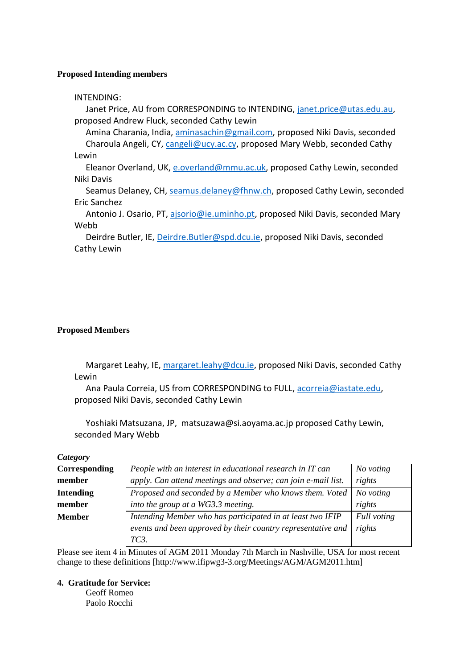### **Proposed Intending members**

## INTENDING:

Janet Price, AU from CORRESPONDING to INTENDING, [janet.price@utas.edu.au,](mailto:janet.price@utas.edu.au) proposed Andrew Fluck, seconded Cathy Lewin

Amina Charania, India, [aminasachin@gmail.com,](mailto:aminasachin@gmail.com) proposed Niki Davis, seconded Charoula Angeli, CY, [cangeli@ucy.ac.cy,](mailto:cangeli@ucy.ac.cy) proposed Mary Webb, seconded Cathy Lewin

Eleanor Overland, UK, [e.overland@mmu.ac.uk,](mailto:e.overland@mmu.ac.uk) proposed Cathy Lewin, seconded Niki Davis

Seamus Delaney, CH, [seamus.delaney@fhnw.ch,](mailto:seamus.delaney@fhnw.ch) proposed Cathy Lewin, seconded Eric Sanchez

Antonio J. Osario, PT, [ajsorio@ie.uminho.pt,](mailto:ajsorio@ie.uminho.pt) proposed Niki Davis, seconded Mary Webb

Deirdre Butler, IE, [Deirdre.Butler@spd.dcu.ie,](mailto:Deirdre.Butler@spd.dcu.ie) proposed Niki Davis, seconded Cathy Lewin

### **Proposed Members**

Margaret Leahy, IE, [margaret.leahy@dcu.ie,](mailto:margaret.leahy@dcu.ie) proposed Niki Davis, seconded Cathy Lewin

Ana Paula Correia, US from CORRESPONDING to FULL, [acorreia@iastate.edu,](mailto:acorreia@iastate.edu) proposed Niki Davis, seconded Cathy Lewin

Yoshiaki Matsuzana, JP, matsuzawa@si.aoyama.ac.jp proposed Cathy Lewin, seconded Mary Webb

#### *Category*

| Corresponding    | People with an interest in educational research in IT can     | No voting   |
|------------------|---------------------------------------------------------------|-------------|
| member           | apply. Can attend meetings and observe; can join e-mail list. | rights      |
| <b>Intending</b> | Proposed and seconded by a Member who knows them. Voted       | No voting   |
| member           | into the group at a WG3.3 meeting.                            | rights      |
| <b>Member</b>    | Intending Member who has participated in at least two IFIP    | Full voting |
|                  | events and been approved by their country representative and  | rights      |
|                  | TC3                                                           |             |

Please see item 4 in Minutes of AGM 2011 Monday 7th March in Nashville, USA for most recent change to these definitions [http://www.ifipwg3-3.org/Meetings/AGM/AGM2011.htm]

## **4. Gratitude for Service:**

Geoff Romeo Paolo Rocchi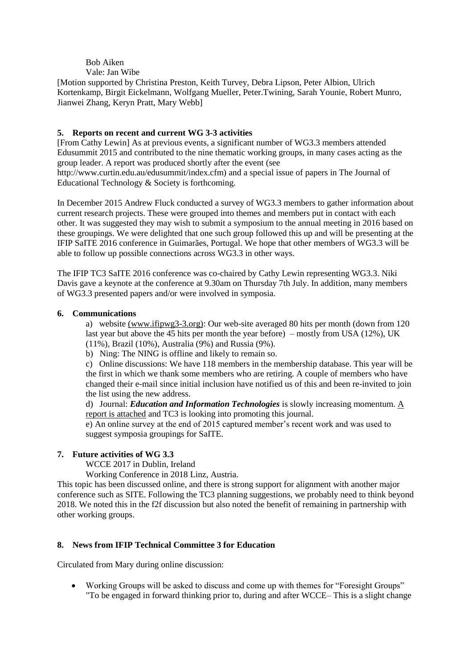#### Bob Aiken Vale: Jan Wibe

[Motion supported by Christina Preston, Keith Turvey, Debra Lipson, Peter Albion, Ulrich Kortenkamp, Birgit Eickelmann, Wolfgang Mueller, Peter.Twining, Sarah Younie, Robert Munro, Jianwei Zhang, Keryn Pratt, Mary Webb]

# **5. Reports on recent and current WG 3-3 activities**

[From Cathy Lewin] As at previous events, a significant number of WG3.3 members attended Edusummit 2015 and contributed to the nine thematic working groups, in many cases acting as the group leader. A report was produced shortly after the event (see http://www.curtin.edu.au/edusummit/index.cfm) and a special issue of papers in The Journal of

Educational Technology & Society is forthcoming.

In December 2015 Andrew Fluck conducted a survey of WG3.3 members to gather information about current research projects. These were grouped into themes and members put in contact with each other. It was suggested they may wish to submit a symposium to the annual meeting in 2016 based on these groupings. We were delighted that one such group followed this up and will be presenting at the IFIP SaITE 2016 conference in Guimarães, Portugal. We hope that other members of WG3.3 will be able to follow up possible connections across WG3.3 in other ways.

The IFIP TC3 SaITE 2016 conference was co-chaired by Cathy Lewin representing WG3.3. Niki Davis gave a keynote at the conference at 9.30am on Thursday 7th July. In addition, many members of WG3.3 presented papers and/or were involved in symposia.

### **6. Communications**

a) website (www.ifipwg3-3.org): Our web-site averaged 80 hits per month (down from 120 last year but above the 45 hits per month the year before) – mostly from USA (12%), UK (11%), Brazil (10%), Australia (9%) and Russia (9%).

b) Ning: The NING is offline and likely to remain so.

c) Online discussions: We have 118 members in the membership database. This year will be the first in which we thank some members who are retiring. A couple of members who have changed their e-mail since initial inclusion have notified us of this and been re-invited to join the list using the new address.

d) Journal: *Education and Information Technologies* is slowly increasing momentum. A report is attached and TC3 is looking into promoting this journal.

e) An online survey at the end of 2015 captured member's recent work and was used to suggest symposia groupings for SaITE.

# **7. Future activities of WG 3.3**

WCCE 2017 in Dublin, Ireland

Working Conference in 2018 Linz, Austria.

This topic has been discussed online, and there is strong support for alignment with another major conference such as SITE. Following the TC3 planning suggestions, we probably need to think beyond 2018. We noted this in the f2f discussion but also noted the benefit of remaining in partnership with other working groups.

# **8. News from IFIP Technical Committee 3 for Education**

Circulated from Mary during online discussion:

 Working Groups will be asked to discuss and come up with themes for "Foresight Groups" "To be engaged in forward thinking prior to, during and after WCCE– This is a slight change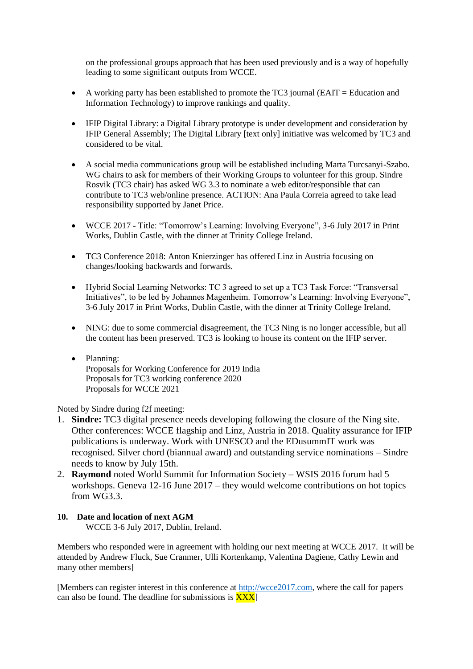on the professional groups approach that has been used previously and is a way of hopefully leading to some significant outputs from WCCE.

- A working party has been established to promote the TC3 journal (EAIT = Education and Information Technology) to improve rankings and quality.
- IFIP Digital Library: a Digital Library prototype is under development and consideration by IFIP General Assembly; The Digital Library [text only] initiative was welcomed by TC3 and considered to be vital.
- A social media communications group will be established including Marta Turcsanyi-Szabo. WG chairs to ask for members of their Working Groups to volunteer for this group. Sindre Rosvik (TC3 chair) has asked WG 3.3 to nominate a web editor/responsible that can contribute to TC3 web/online presence. ACTION: Ana Paula Correia agreed to take lead responsibility supported by Janet Price.
- WCCE 2017 Title: "Tomorrow's Learning: Involving Everyone", 3-6 July 2017 in Print Works, Dublin Castle, with the dinner at Trinity College Ireland.
- TC3 Conference 2018: Anton Knierzinger has offered Linz in Austria focusing on changes/looking backwards and forwards.
- Hybrid Social Learning Networks: TC 3 agreed to set up a TC3 Task Force: "Transversal Initiatives", to be led by Johannes Magenheim. Tomorrow's Learning: Involving Everyone", 3-6 July 2017 in Print Works, Dublin Castle, with the dinner at Trinity College Ireland.
- NING: due to some commercial disagreement, the TC3 Ning is no longer accessible, but all the content has been preserved. TC3 is looking to house its content on the IFIP server.
- Planning: Proposals for Working Conference for 2019 India Proposals for TC3 working conference 2020 Proposals for WCCE 2021

Noted by Sindre during f2f meeting:

- 1. **Sindre:** TC3 digital presence needs developing following the closure of the Ning site. Other conferences: WCCE flagship and Linz, Austria in 2018. Quality assurance for IFIP publications is underway. Work with UNESCO and the EDusummIT work was recognised. Silver chord (biannual award) and outstanding service nominations – Sindre needs to know by July 15th.
- 2. **Raymond** noted World Summit for Information Society WSIS 2016 forum had 5 workshops. Geneva 12-16 June 2017 – they would welcome contributions on hot topics from WG3.3.

# **10. Date and location of next AGM**

WCCE 3-6 July 2017, Dublin, Ireland.

Members who responded were in agreement with holding our next meeting at WCCE 2017. It will be attended by Andrew Fluck, Sue Cranmer, Ulli Kortenkamp, Valentina Dagiene, Cathy Lewin and many other members]

[Members can register interest in this conference at [http://wcce2017.com,](http://wcce2017.com/) where the call for papers can also be found. The deadline for submissions is  $\overline{XXX}$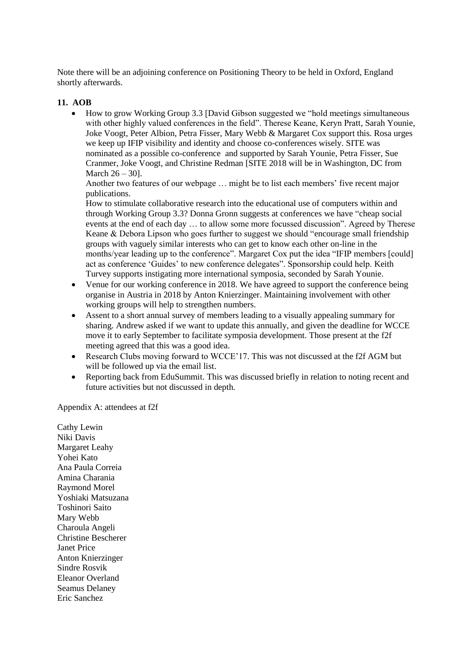Note there will be an adjoining conference on Positioning Theory to be held in Oxford, England shortly afterwards.

# **11. AOB**

 How to grow Working Group 3.3 [David Gibson suggested we "hold meetings simultaneous with other highly valued conferences in the field". Therese Keane, Keryn Pratt, Sarah Younie, Joke Voogt, Peter Albion, Petra Fisser, Mary Webb & Margaret Cox support this. Rosa urges we keep up IFIP visibility and identity and choose co-conferences wisely. SITE was nominated as a possible co-conference and supported by Sarah Younie, Petra Fisser, Sue Cranmer, Joke Voogt, and Christine Redman [SITE 2018 will be in Washington, DC from March 26 – 30].

Another two features of our webpage … might be to list each members' five recent major publications.

How to stimulate collaborative research into the educational use of computers within and through Working Group 3.3? Donna Gronn suggests at conferences we have "cheap social events at the end of each day … to allow some more focussed discussion". Agreed by Therese Keane & Debora Lipson who goes further to suggest we should "encourage small friendship groups with vaguely similar interests who can get to know each other on-line in the months/year leading up to the conference". Margaret Cox put the idea "IFIP members [could] act as conference 'Guides' to new conference delegates". Sponsorship could help. Keith Turvey supports instigating more international symposia, seconded by Sarah Younie.

- Venue for our working conference in 2018. We have agreed to support the conference being organise in Austria in 2018 by Anton Knierzinger. Maintaining involvement with other working groups will help to strengthen numbers.
- Assent to a short annual survey of members leading to a visually appealing summary for sharing. Andrew asked if we want to update this annually, and given the deadline for WCCE move it to early September to facilitate symposia development. Those present at the f2f meeting agreed that this was a good idea.
- Research Clubs moving forward to WCCE'17. This was not discussed at the f2f AGM but will be followed up via the email list.
- Reporting back from EduSummit. This was discussed briefly in relation to noting recent and future activities but not discussed in depth.

Appendix A: attendees at f2f

Cathy Lewin Niki Davis Margaret Leahy Yohei Kato Ana Paula Correia Amina Charania Raymond Morel Yoshiaki Matsuzana Toshinori Saito Mary Webb Charoula Angeli Christine Bescherer Janet Price Anton Knierzinger Sindre Rosvik Eleanor Overland Seamus Delaney Eric Sanchez